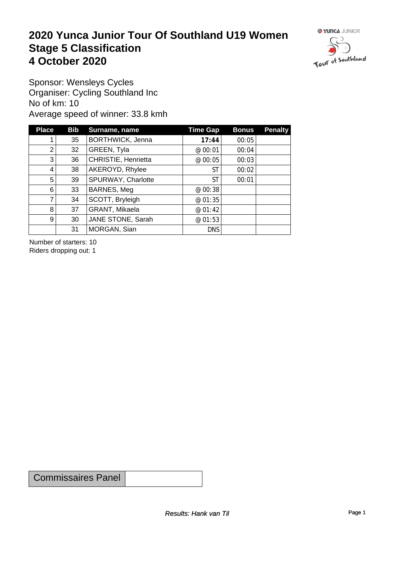### **2020 Yunca Junior Tour Of Southland U19 Women** Stage 5 Classification<br>4 October 2020 **4 October 2020**



Sponsor: Wensleys Cycles Organiser: Cycling Southland Inc No of km: 10 Average speed of winner: 33.8 kmh

| <b>Place</b>   | <b>Bib</b> | Surname, name       | Time Gap   | <b>Bonus</b> | <b>Penalty</b> |
|----------------|------------|---------------------|------------|--------------|----------------|
|                | 35         | BORTHWICK, Jenna    | 17:44      | 00:05        |                |
| 2              | 32         | GREEN, Tyla         | @ 00:01    | 00:04        |                |
| 3              | 36         | CHRISTIE, Henrietta | @ 00:05    | 00:03        |                |
| 4              | 38         | AKEROYD, Rhylee     | ST         | 00:02        |                |
| 5              | 39         | SPURWAY, Charlotte  | ST         | 00:01        |                |
| 6              | 33         | BARNES, Meg         | @ $00:38$  |              |                |
| 7              | 34         | SCOTT, Bryleigh     | @ 01:35    |              |                |
| 8              | 37         | GRANT, Mikaela      | @ 01:42    |              |                |
| 9 <sup>1</sup> | 30         | JANE STONE, Sarah   | @ 01:53    |              |                |
|                | 31         | MORGAN, Sian        | <b>DNS</b> |              |                |

Number of starters: 10 Riders dropping out: 1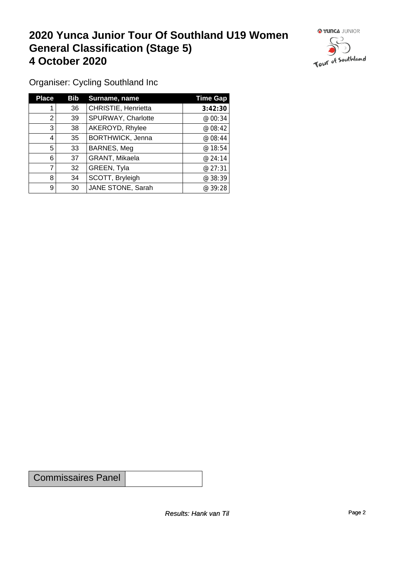## **2020 Yunca Junior Tour Of Southland U19 Women General Classification (Stage 5)**<br>
4 October 2020 **4 October 2020**



Organiser: Cycling Southland Inc

| <b>Place</b> | Bib             | Surname, name           | <b>Time Gap</b> |
|--------------|-----------------|-------------------------|-----------------|
|              | 36 <sup>°</sup> | CHRISTIE, Henrietta     | 3:42:30         |
| 2            | 39              | SPURWAY, Charlotte      | @ 00:34         |
| 3            | 38              | AKEROYD, Rhylee         | @ 08:42         |
| 4            | 35              | <b>BORTHWICK, Jenna</b> | @08:44          |
| 5            | 33              | BARNES, Meg             | @18:54          |
| 6            | 37              | GRANT, Mikaela          | @24:14          |
|              | 32              | GREEN, Tyla             | @ 27:31         |
| 8            | 34              | SCOTT, Bryleigh         | @ 38:39         |
| 9            | 30              | JANE STONE, Sarah       | @ 39:28         |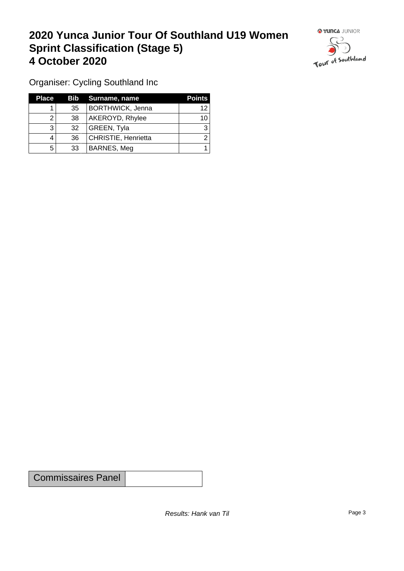## **2020 Yunca Junior Tour Of Southland U19 Women Sprint Classification (Stage 5) 4 October 2020**



Organiser: Cycling Southland Inc

| <b>Place</b> |                 | <b>Bib</b> Surname, name | <b>Points</b> |
|--------------|-----------------|--------------------------|---------------|
|              | 35 <sup>2</sup> | <b>BORTHWICK, Jenna</b>  | 12            |
|              | 38              | AKEROYD, Rhylee          | 10            |
| 3            | 32              | GREEN, Tyla              |               |
|              | 36              | CHRISTIE, Henrietta      |               |
| 5            | 33              | BARNES, Meg              |               |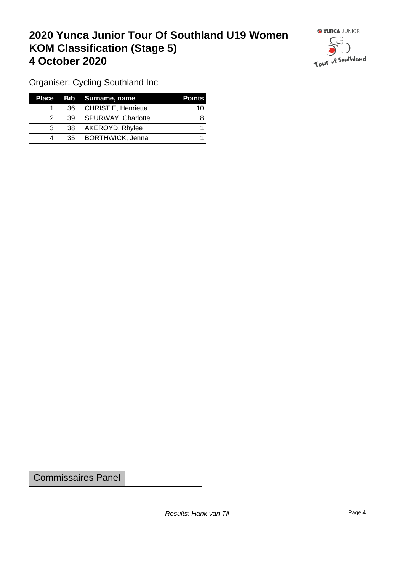## **2020 Yunca Junior Tour Of Southland U19 Women KOM Classification (Stage 5) 4 October 2020 19 To 2020 19 To 2020 19 To 2020**



Organiser: Cycling Southland Inc

| Place |    | Bib Surname, name         | <b>Points</b> |
|-------|----|---------------------------|---------------|
|       | 36 | CHRISTIE, Henrietta       | 10            |
|       | 39 | <b>SPURWAY, Charlotte</b> |               |
|       | 38 | AKEROYD, Rhylee           |               |
|       | 35 | <b>BORTHWICK, Jenna</b>   |               |